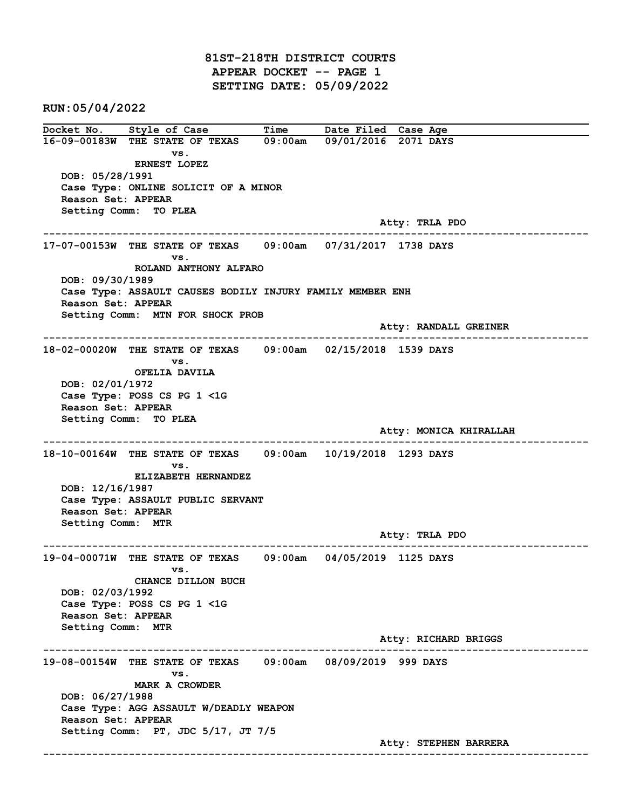81ST-218TH DISTRICT COURTS APPEAR DOCKET -- PAGE 1 SETTING DATE: 05/09/2022

RUN:05/04/2022

Docket No. Style of Case Time Date Filed Case Age 16-09-00183W THE STATE OF TEXAS 09:00am 09/01/2016 2071 DAYS vs. ERNEST LOPEZ DOB: 05/28/1991 Case Type: ONLINE SOLICIT OF A MINOR Reason Set: APPEAR Setting Comm: TO PLEA Atty: TRLA PDO ------------------------------------------------------------------------------------------------------------------------ 17-07-00153W THE STATE OF TEXAS 09:00am 07/31/2017 1738 DAYS vs. ROLAND ANTHONY ALFARO DOB: 09/30/1989 Case Type: ASSAULT CAUSES BODILY INJURY FAMILY MEMBER ENH Reason Set: APPEAR Setting Comm: MTN FOR SHOCK PROB Atty: RANDALL GREINER ------------------------------------------------------------------------------------------------------------------------ 18-02-00020W THE STATE OF TEXAS 09:00am 02/15/2018 1539 DAYS vs. OFELIA DAVILA DOB: 02/01/1972 Case Type: POSS CS PG 1 <1G Reason Set: APPEAR Setting Comm: TO PLEA Atty: MONICA KHIRALLAH ------------------------------------------------------------------------------------------------------------------------ 18-10-00164W THE STATE OF TEXAS 09:00am 10/19/2018 1293 DAYS vs. ELIZABETH HERNANDEZ DOB: 12/16/1987 Case Type: ASSAULT PUBLIC SERVANT Reason Set: APPEAR Setting Comm: MTR Atty: TRLA PDO ------------------------------------------------------------------------------------------------------------------------ 19-04-00071W THE STATE OF TEXAS 09:00am 04/05/2019 1125 DAYS vs. CHANCE DILLON BUCH DOB: 02/03/1992 Case Type: POSS CS PG 1 <1G Reason Set: APPEAR Setting Comm: MTR Atty: RICHARD BRIGGS ------------------------------------------------------------------------------------------------------------------------ 19-08-00154W THE STATE OF TEXAS 09:00am 08/09/2019 999 DAYS vs. MARK A CROWDER DOB: 06/27/1988 Case Type: AGG ASSAULT W/DEADLY WEAPON Reason Set: APPEAR Setting Comm: PT, JDC 5/17, JT 7/5 Atty: STEPHEN BARRERA ------------------------------------------------------------------------------------------------------------------------